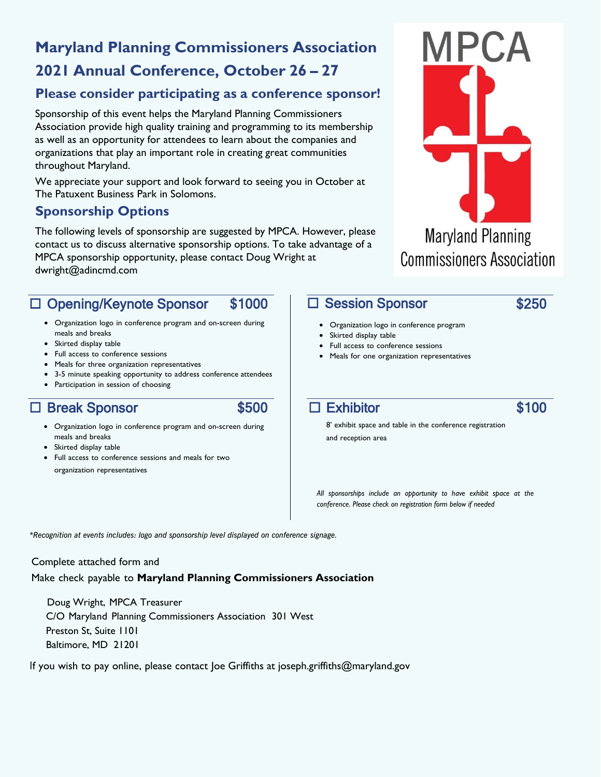# **Maryland Planning Commissioners Association**

# **2021 Annual Conference, October 26 – 27**

#### **Please consider participating as a conference sponsor!**

Sponsorship of this event helps the Maryland Planning Commissioners Association provide high quality training and programming to its membership as well as an opportunity for attendees to learn about the companies and organizations that play an important role in creating great communities throughout Maryland.

We appreciate your support and look forward to seeing you in October at The Patuxent Business Park in Solomons.

#### **Sponsorship Options**

The following levels of sponsorship are suggested by MPCA. However, please contact us to discuss alternative sponsorship options. To take advantage of a MPCA sponsorship opportunity, please contact Doug Wright at dwright@adincmd.com

### □ Opening/Keynote Sponsor \$1000

- Organization logo in conference program and on-screen during meals and breaks
- Skirted display table
- Full access to conference sessions
- Meals for three organization representatives
- 3-5 minute speaking opportunity to address conference attendees
- Participation in session of choosing

### □ Break Sponsor \$500

- 
- Organization logo in conference program and on-screen during meals and breaks
- Skirted display table
- Full access to conference sessions and meals for two organization representatives

#### □ Session Sponsor

- Organization logo in conference program
- Skirted display table
- Full access to conference sessions
- Meals for one organization representatives

#### $\Box$  Exhibitor  $$100$

8' exhibit space and table in the conference registration and reception area

*All sponsorships include an opportunity to have exhibit space at the conference. Please check on registration form below if needed*

*\*Recognition at events includes: logo and sponsorship level displayed on conference signage.*

#### Complete attached form and

Make check payable to **Maryland Planning Commissioners Association**

Doug Wright, MPCA Treasurer C/O Maryland Planning Commissioners Association 301 West Preston St, Suite 1101 Baltimore, MD 21201

If you wish to pay online, please contact Joe Griffiths at joseph.griffiths@maryland.gov



#### \$250